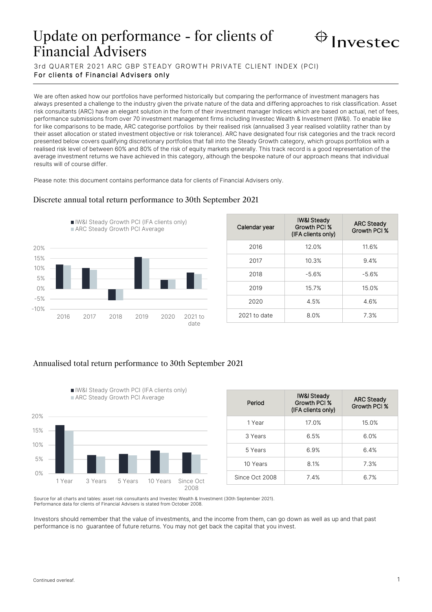# Update on performance - for clients of Financial Advisers



3rd QUARTER 2021 ARC GBP STEADY GROWTH PRIVATE CLIENT INDEX (PCI) For clients of Financial Advisers only

We are often asked how our portfolios have performed historically but comparing the performance of investment managers has always presented a challenge to the industry given the private nature of the data and differing approaches to risk classification. Asset risk consultants (ARC) have an elegant solution in the form of their investment manager Indices which are based on actual, net of fees, performance submissions from over 70 investment management firms including Investec Wealth & Investment (IW&I). To enable like for like comparisons to be made, ARC categorise portfolios by their realised risk (annualised 3 year realised volatility rather than by their asset allocation or stated investment objective or risk tolerance). ARC have designated four risk categories and the track record presented below covers qualifying discretionary portfolios that fall into the Steady Growth category, which groups portfolios with a realised risk level of between 60% and 80% of the risk of equity markets generally. This track record is a good representation of the average investment returns we have achieved in this category, although the bespoke nature of our approach means that individual results will of course differ.

Please note: this document contains performance data for clients of Financial Advisers only.

## -10% -5% 0% 5% 10% 15% 20% 2016 2017 2018 2019 2020 2021 to date **I** IW&I Steady Growth PCI (IFA clients only) ARC Steady Growth PCI Average

| Calendar year | <b>IW&amp;I Steady</b><br>Growth PCI %<br>(IFA clients only) | <b>ARC Steady</b><br>Growth PCI % |
|---------------|--------------------------------------------------------------|-----------------------------------|
| 2016          | 12.0%                                                        | 11.6%                             |
| 2017          | 10.3%                                                        | 9.4%                              |
| 2018          | $-5.6%$                                                      | $-5.6%$                           |
| 2019          | 15.7%                                                        | 15.0%                             |
| 2020          | 4.5%                                                         | 4.6%                              |
| 2021 to date  | 8.0%                                                         | 7.3%                              |

Discrete annual total return performance to 30th September 2021

# Annualised total return performance to 30th September 2021

IW&I Steady Growth PCI (IFA clients only)



| Period         | <b>IW&amp;I Steady</b><br>Growth PCI %<br>(IFA clients only) | <b>ARC Steady</b><br>Growth PCI % |
|----------------|--------------------------------------------------------------|-----------------------------------|
| 1 Year         | 17.0%                                                        | 15.0%                             |
| 3 Years        | 6.5%                                                         | 6.0%                              |
| 5 Years        | 6.9%                                                         | 6.4%                              |
| 10 Years       | 8.1%                                                         | 7.3%                              |
| Since Oct 2008 | 7.4%                                                         | 6.7%                              |

Source for all charts and tables: asset risk consultants and Investec Wealth & Investment (30th September 2021). Performance data for clients of Financial Advisers is stated from October 2008.

Investors should remember that the value of investments, and the income from them, can go down as well as up and that past performance is no guarantee of future returns. You may not get back the capital that you invest.